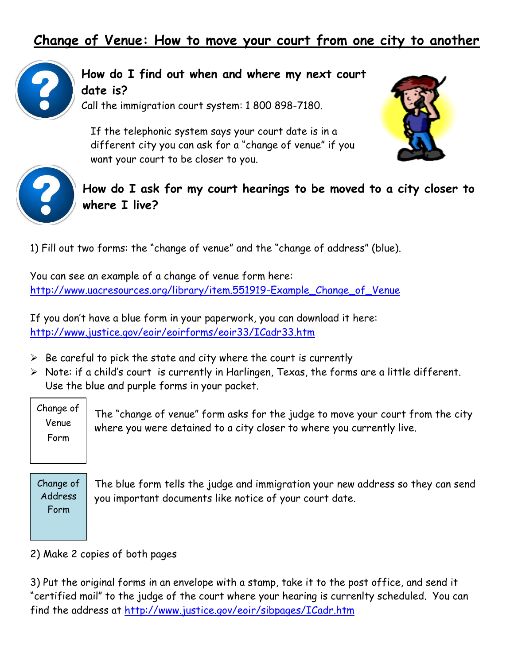## **Change of Venue: How to move your court from one city to another**



**How do I find out when and where my next court date is?**

Call the immigration court system: 1 800 898-7180.

If the telephonic system says your court date is in a different city you can ask for a "change of venue" if you want your court to be closer to you.





**How do I ask for my court hearings to be moved to a city closer to where I live?**

1) Fill out two forms: the "change of venue" and the "change of address" (blue).

You can see an example of a change of venue form here: [http://www.uacresources.org/library/item.551919-Example\\_Change\\_of\\_Venue](http://www.uacresources.org/library/item.551919-Example_Change_of_Venue)

If you don't have a blue form in your paperwork, you can download it here: <http://www.justice.gov/eoir/eoirforms/eoir33/ICadr33.htm>

- $\triangleright$  Be careful to pick the state and city where the court is currently
- $\triangleright$  Note: if a child's court is currently in Harlingen, Texas, the forms are a little different. Use the blue and purple forms in your packet.

Change of Venue Form

The "change of venue" form asks for the judge to move your court from the city where you were detained to a city closer to where you currently live.

Change of Address Form

The blue form tells the judge and immigration your new address so they can send you important documents like notice of your court date.

2) Make 2 copies of both pages

3) Put the original forms in an envelope with a stamp, take it to the post office, and send it "certified mail" to the judge of the court where your hearing is currenlty scheduled. You can find the address at<http://www.justice.gov/eoir/sibpages/ICadr.htm>